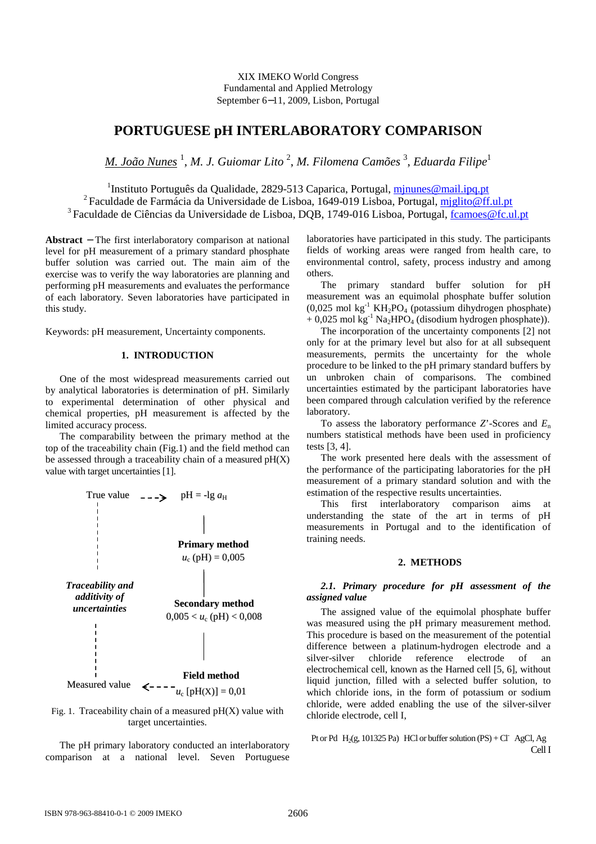XIX IMEKO World Congress Fundamental and Applied Metrology September 6−11, 2009, Lisbon, Portugal

# **PORTUGUESE pH INTERLABORATORY COMPARISON**

*M. João Nunes* <sup>1</sup> , *M. J. Guiomar Lito* <sup>2</sup> , *M. Filomena Camões* <sup>3</sup> , *Eduarda Filipe*<sup>1</sup>

<sup>1</sup>Instituto Português da Qualidade, 2829-513 Caparica, Portugal, *minunes@mail.ipq.pt* <sup>2</sup> Faculdade de Farmácia da Universidade de Lisboa, 1649-019 Lisboa, Portugal, miglito@ff.ul.pt <sup>3</sup> Faculdade de Ciências da Universidade de Lisboa, DOB, 1749-016 Lisboa, Portugal, fcamoes@fc.ul.pt

**Abstract** − The first interlaboratory comparison at national level for pH measurement of a primary standard phosphate buffer solution was carried out. The main aim of the exercise was to verify the way laboratories are planning and performing pH measurements and evaluates the performance of each laboratory. Seven laboratories have participated in this study.

Keywords: pH measurement, Uncertainty components.

## **1. INTRODUCTION**

One of the most widespread measurements carried out by analytical laboratories is determination of pH. Similarly to experimental determination of other physical and chemical properties, pH measurement is affected by the limited accuracy process.

The comparability between the primary method at the top of the traceability chain (Fig.1) and the field method can be assessed through a traceability chain of a measured  $pH(X)$ value with target uncertainties [1].



Fig. 1. Traceability chain of a measured  $pH(X)$  value with target uncertainties.

The pH primary laboratory conducted an interlaboratory comparison at a national level. Seven Portuguese laboratories have participated in this study. The participants fields of working areas were ranged from health care, to environmental control, safety, process industry and among others.

The primary standard buffer solution for pH measurement was an equimolal phosphate buffer solution (0,025 mol kg<sup>-1</sup> KH<sub>2</sub>PO<sub>4</sub> (potassium dihydrogen phosphate)  $+ 0.025$  mol kg<sup>-1</sup> Na<sub>2</sub>HPO<sub>4</sub> (disodium hydrogen phosphate)).

The incorporation of the uncertainty components [2] not only for at the primary level but also for at all subsequent measurements, permits the uncertainty for the whole procedure to be linked to the pH primary standard buffers by un unbroken chain of comparisons. The combined uncertainties estimated by the participant laboratories have been compared through calculation verified by the reference laboratory.

To assess the laboratory performance *Z*'-Scores and *E*<sup>n</sup> numbers statistical methods have been used in proficiency tests [3, 4].

The work presented here deals with the assessment of the performance of the participating laboratories for the pH measurement of a primary standard solution and with the estimation of the respective results uncertainties.

This first interlaboratory comparison aims at understanding the state of the art in terms of pH measurements in Portugal and to the identification of training needs.

## **2. METHODS**

# *2.1. Primary procedure for pH assessment of the assigned value*

The assigned value of the equimolal phosphate buffer was measured using the pH primary measurement method. This procedure is based on the measurement of the potential difference between a platinum-hydrogen electrode and a silver-silver chloride reference electrode of an electrochemical cell, known as the Harned cell [5, 6], without liquid junction, filled with a selected buffer solution, to which chloride ions, in the form of potassium or sodium chloride, were added enabling the use of the silver-silver chloride electrode, cell I,

Pt or Pd  $|H_2(g, 101325 \text{ Pa})|$  HCl or buffer solution (PS) + Cl<sup>-</sup> | AgCl, Ag Cell I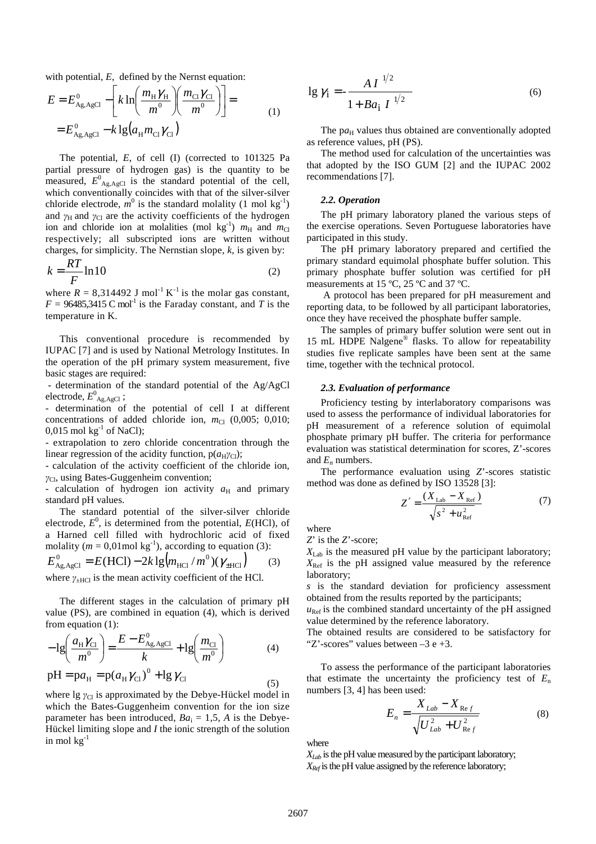with potential, *E*, defined by the Nernst equation:

$$
E = E_{A_{g,AgCl}}^{0} - \left[ k \ln \left( \frac{m_{H} \gamma_{H}}{m^{0}} \right) \left( \frac{m_{Cl} \gamma_{Cl}}{m^{0}} \right) \right] =
$$
  
=  $E_{A_{g,AgCl}}^{0} - k \lg (a_{H} m_{Cl} \gamma_{Cl})$  (1)

The potential, *E*, of cell (I) (corrected to 101325 Pa partial pressure of hydrogen gas) is the quantity to be measured,  $E^0$ <sub>Ag,AgCl</sub> is the standard potential of the cell, which conventionally coincides with that of the silver-silver chloride electrode,  $m^0$  is the standard molality (1 mol kg<sup>-1</sup>) and  $\gamma_H$  and  $\gamma_C$  are the activity coefficients of the hydrogen ion and chloride ion at molalities (mol kg<sup>-1</sup>)  $m_H$  and  $m_C$ respectively; all subscripted ions are written without charges, for simplicity. The Nernstian slope, *k*, is given by:

$$
k = \frac{RT}{F} \ln 10\tag{2}
$$

where  $R = 8,314492$  J mol<sup>-1</sup> K<sup>-1</sup> is the molar gas constant,  $F = 96485,3415 \text{ C mol}^{-1}$  is the Faraday constant, and *T* is the temperature in K.

This conventional procedure is recommended by IUPAC [7] and is used by National Metrology Institutes. In the operation of the pH primary system measurement, five basic stages are required:

 - determination of the standard potential of the Ag/AgCl electrode,  $E^0_{\text{Ag,AgCl}}$  ;

- determination of the potential of cell I at different concentrations of added chloride ion,  $m_{Cl}$  (0,005; 0,010;  $0,015$  mol kg<sup>-1</sup> of NaCl);

- extrapolation to zero chloride concentration through the linear regression of the acidity function,  $p(a_H \gamma_{Cl})$ ;

- calculation of the activity coefficient of the chloride ion, *γ*<sub>Cl</sub>, using Bates-Guggenheim convention;

calculation of hydrogen ion activity  $a_H$  and primary standard pH values.

The standard potential of the silver-silver chloride electrode, *E* 0 , is determined from the potential, *E*(HCl), of a Harned cell filled with hydrochloric acid of fixed molality ( $m = 0.01$  mol kg<sup>-1</sup>), according to equation (3):

$$
E_{\text{Ag,AgCl}}^0 = E(\text{HCl}) - 2k \lg (m_{\text{HC}} / m^0) (\gamma_{\text{HCl}})
$$
 (3)  
where  $\gamma_{\text{UCl}}$  is the mean activity coefficient of the HCl

where  $\gamma_{\pm HCl}$  is the mean activity coefficient of the HCl.

The different stages in the calculation of primary pH value (PS), are combined in equation (4), which is derived from equation (1):

$$
-1g\left(\frac{a_{\rm H}\gamma_{\rm Cl}}{m^0}\right) = \frac{E - E_{\rm Ag, AgCl}^0}{k} + 1g\left(\frac{m_{\rm Cl}}{m^0}\right) \tag{4}
$$

$$
pH = pa_{H} = p(a_{H}\gamma_{Cl})^{0} + lg \gamma_{Cl}
$$
\n(5)

where lg  $\gamma_{\text{Cl}}$  is approximated by the Debye-Hückel model in which the Bates-Guggenheim convention for the ion size parameter has been introduced,  $Ba_i = 1.5$ , A is the Debye-Hückel limiting slope and *I* the ionic strength of the solution in mol  $kg^{-1}$ 

$$
\lg \gamma_i = -\frac{A I^{-1/2}}{1 + B a_i I^{-1/2}} \tag{6}
$$

The  $pa_H$  values thus obtained are conventionally adopted as reference values, pH (PS).

 The method used for calculation of the uncertainties was that adopted by the ISO GUM [2] and the IUPAC 2002 recommendations [7].

#### *2.2. Operation*

The pH primary laboratory planed the various steps of the exercise operations. Seven Portuguese laboratories have participated in this study.

The pH primary laboratory prepared and certified the primary standard equimolal phosphate buffer solution. This primary phosphate buffer solution was certified for pH measurements at 15 ºC, 25 ºC and 37 ºC.

 A protocol has been prepared for pH measurement and reporting data, to be followed by all participant laboratories, once they have received the phosphate buffer sample.

The samples of primary buffer solution were sent out in 15 mL HDPE Nalgene® flasks. To allow for repeatability studies five replicate samples have been sent at the same time, together with the technical protocol.

#### *2.3. Evaluation of performance*

Proficiency testing by interlaboratory comparisons was used to assess the performance of individual laboratories for pH measurement of a reference solution of equimolal phosphate primary pH buffer. The criteria for performance evaluation was statistical determination for scores, Z'-scores and  $E_n$  numbers.

 The performance evaluation using *Z*'-scores statistic method was done as defined by ISO 13528 [3]:

$$
Z' = \frac{(X_{\text{Lab}} - X_{\text{Ref}})}{\sqrt{s^2 + u_{\text{Ref}}^2}}\tag{7}
$$

where

*Z*' is the *Z*'-score;

*X*Lab is the measured pH value by the participant laboratory;  $X_{\text{Ref}}$  is the pH assigned value measured by the reference laboratory;

*s* is the standard deviation for proficiency assessment obtained from the results reported by the participants;

 $u_{\text{Ref}}$  is the combined standard uncertainty of the pH assigned value determined by the reference laboratory.

The obtained results are considered to be satisfactory for "Z'-scores" values between  $-3 e +3$ .

To assess the performance of the participant laboratories that estimate the uncertainty the proficiency test of  $E_n$ numbers [3, 4] has been used:

$$
E_n = \frac{X_{Lab} - X_{Ref}}{\sqrt{U_{Lab}^2 + U_{Ref}^2}}
$$
(8)

where

 $X_{Lab}$  is the pH value measured by the participant laboratory; *XRef* is the pH value assigned by the reference laboratory;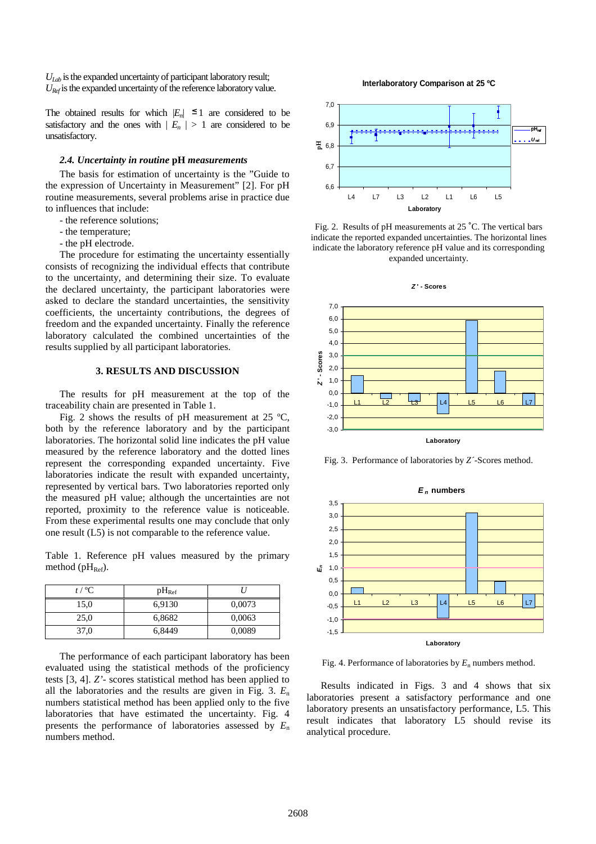*ULab* is the expanded uncertainty of participant laboratory result; *URef* is the expanded uncertainty of the reference laboratory value.

The obtained results for which  $|E_n| \leq 1$  are considered to be satisfactory and the ones with  $|E_n| > 1$  are considered to be unsatisfactory.

## *2.4. Uncertainty in routine* **pH** *measurements*

The basis for estimation of uncertainty is the "Guide to the expression of Uncertainty in Measurement" [2]. For pH routine measurements, several problems arise in practice due to influences that include:

- the reference solutions;
- the temperature;
- the pH electrode.

 The procedure for estimating the uncertainty essentially consists of recognizing the individual effects that contribute to the uncertainty, and determining their size. To evaluate the declared uncertainty, the participant laboratories were asked to declare the standard uncertainties, the sensitivity coefficients, the uncertainty contributions, the degrees of freedom and the expanded uncertainty. Finally the reference laboratory calculated the combined uncertainties of the results supplied by all participant laboratories.

#### **3. RESULTS AND DISCUSSION**

The results for pH measurement at the top of the traceability chain are presented in Table 1.

Fig. 2 shows the results of pH measurement at  $25 \text{ °C}$ , both by the reference laboratory and by the participant laboratories. The horizontal solid line indicates the pH value measured by the reference laboratory and the dotted lines represent the corresponding expanded uncertainty. Five laboratories indicate the result with expanded uncertainty, represented by vertical bars. Two laboratories reported only the measured pH value; although the uncertainties are not reported, proximity to the reference value is noticeable. From these experimental results one may conclude that only one result (L5) is not comparable to the reference value.

Table 1. Reference pH values measured by the primary method ( $pH_{Ref}$ ).

| $t/$ °C. | $pH_{\text{Ref}}$ |        |
|----------|-------------------|--------|
| 15,0     | 6,9130            | 0,0073 |
| 25,0     | 6,8682            | 0,0063 |
| 37.0     | 6,8449            | 0,0089 |

The performance of each participant laboratory has been evaluated using the statistical methods of the proficiency tests [3, 4]. *Z'*- scores statistical method has been applied to all the laboratories and the results are given in Fig. 3. *E*<sup>n</sup> numbers statistical method has been applied only to the five laboratories that have estimated the uncertainty. Fig. 4 presents the performance of laboratories assessed by *E*<sup>n</sup> numbers method.

**Interlaboratory Comparison at 25 ºC**



Fig. 2. Results of pH measurements at 25 ˚C. The vertical bars indicate the reported expanded uncertainties. The horizontal lines indicate the laboratory reference pH value and its corresponding expanded uncertainty.



Fig. 3. Performance of laboratories by *Z´*-Scores method.



Fig. 4. Performance of laboratories by  $E_n$  numbers method.

Results indicated in Figs. 3 and 4 shows that six laboratories present a satisfactory performance and one laboratory presents an unsatisfactory performance, L5. This result indicates that laboratory L5 should revise its analytical procedure.